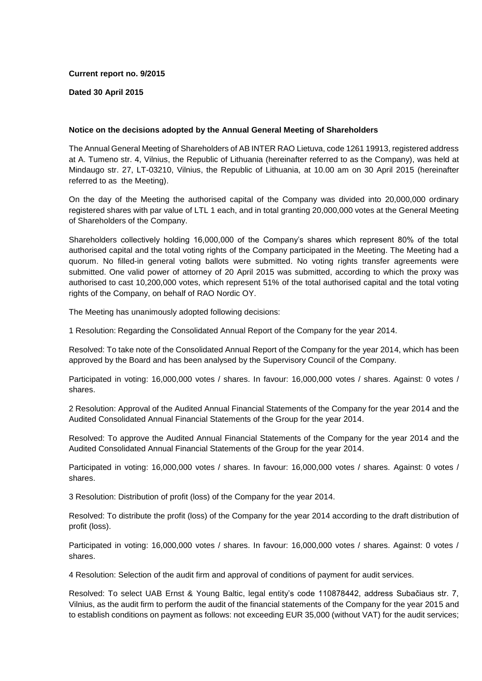## **Current report no. 9/2015**

## **Dated 30 April 2015**

## **Notice on the decisions adopted by the Annual General Meeting of Shareholders**

The Annual General Meeting of Shareholders of AB INTER RAO Lietuva, code 1261 19913, registered address at A. Tumeno str. 4, Vilnius, the Republic of Lithuania (hereinafter referred to as the Company), was held at Mindaugo str. 27, LT-03210, Vilnius, the Republic of Lithuania, at 10.00 am on 30 April 2015 (hereinafter referred to as the Meeting).

On the day of the Meeting the authorised capital of the Company was divided into 20,000,000 ordinary registered shares with par value of LTL 1 each, and in total granting 20,000,000 votes at the General Meeting of Shareholders of the Company.

Shareholders collectively holding 16,000,000 of the Company's shares which represent 80% of the total authorised capital and the total voting rights of the Company participated in the Meeting. The Meeting had a quorum. No filled-in general voting ballots were submitted. No voting rights transfer agreements were submitted. One valid power of attorney of 20 April 2015 was submitted, according to which the proxy was authorised to cast 10,200,000 votes, which represent 51% of the total authorised capital and the total voting rights of the Company, on behalf of RAO Nordic OY.

The Meeting has unanimously adopted following decisions:

1 Resolution: Regarding the Consolidated Annual Report of the Company for the year 2014.

Resolved: To take note of the Consolidated Annual Report of the Company for the year 2014, which has been approved by the Board and has been analysed by the Supervisory Council of the Company.

Participated in voting: 16,000,000 votes / shares. In favour: 16,000,000 votes / shares. Against: 0 votes / shares.

2 Resolution: Approval of the Audited Annual Financial Statements of the Company for the year 2014 and the Audited Consolidated Annual Financial Statements of the Group for the year 2014.

Resolved: To approve the Audited Annual Financial Statements of the Company for the year 2014 and the Audited Consolidated Annual Financial Statements of the Group for the year 2014.

Participated in voting: 16,000,000 votes / shares. In favour: 16,000,000 votes / shares. Against: 0 votes / shares.

3 Resolution: Distribution of profit (loss) of the Company for the year 2014.

Resolved: To distribute the profit (loss) of the Company for the year 2014 according to the draft distribution of profit (loss).

Participated in voting: 16,000,000 votes / shares. In favour: 16,000,000 votes / shares. Against: 0 votes / shares.

4 Resolution: Selection of the audit firm and approval of conditions of payment for audit services.

Resolved: To select UAB Ernst & Young Baltic, legal entity's code 110878442, address Subačiaus str. 7, Vilnius, as the audit firm to perform the audit of the financial statements of the Company for the year 2015 and to establish conditions on payment as follows: not exceeding EUR 35,000 (without VAT) for the audit services;